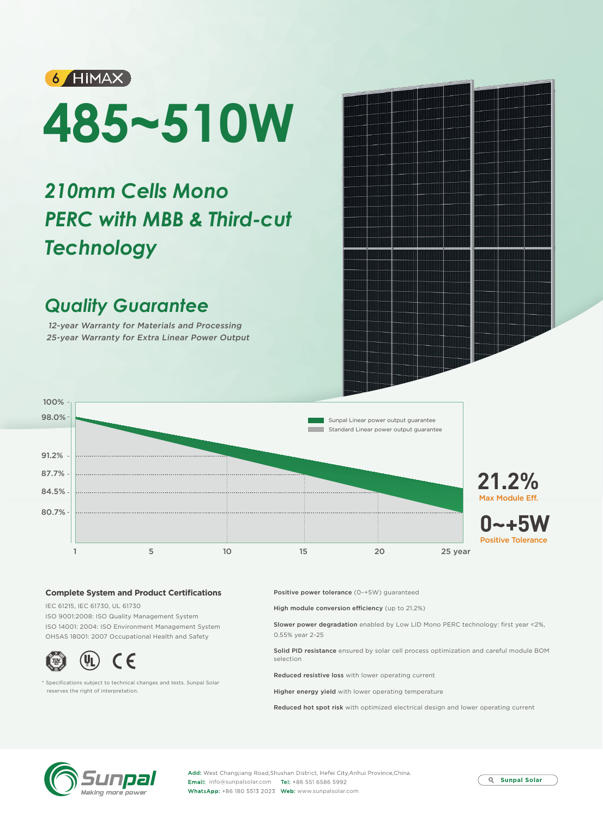

# **485~510W**

## *210mm Cells Mono PERC with MBB & Third-cut Technology*

### *Quality Guarantee*

12-year Warranty for Materials and Processing 25-year Warranty for Extra Linear Power Output



#### **Complete System and Product Certifications**

IEC 61215, IEC 61730, UL 61730 ISO 9001:2008: ISO Quality Management System ISO 14001: 2004: ISO Environment Management System OHSAS 18001: 2007 Occupational Health and Safety



\* Specifications subject to technical changes and tests. Sunpal Solar reserves the right of interpretation.

Positive power tolerance (0~+5W) guaranteed

High module conversion efficiency (up to 21.2%)

Slower power degradation enabled by Low LID Mono PERC technology: first year <2%, 0.55% year 2-25

Solid PID resistance ensured by solar cell process optimization and careful module BOM selection

Reduced resistive loss with lower operating current

Higher energy yield with lower operating temperature

Reduced hot spot risk with optimized electrical design and lower operating current